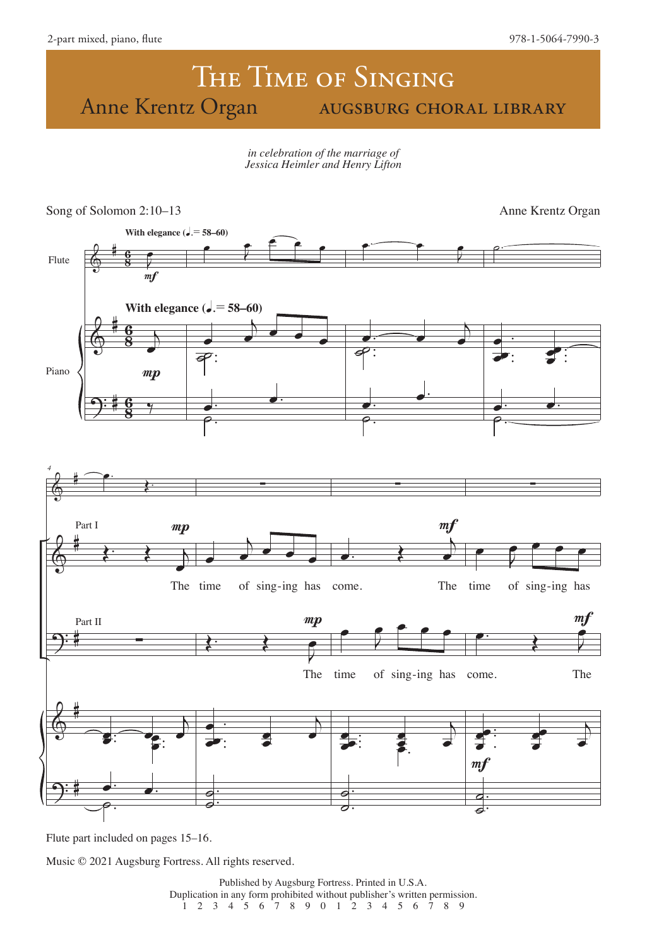## THE TIME OF SINGING<br>Anne Krentz Organ AUGSBURG CHO AUGSBURG CHORAL LIBRARY

*in celebration of the marriage of Jessica Heimler and Henry Lifton*



Flute part included on pages 15–16.

Music © 2021 Augsburg Fortress. All rights reserved.

Published by Augsburg Fortress. Printed in U.S.A. Duplication in any form prohibited without publisher's written permission. 1 2 3 4 5 6 7 8 9 0 1 2 3 4 5 6 7 8 9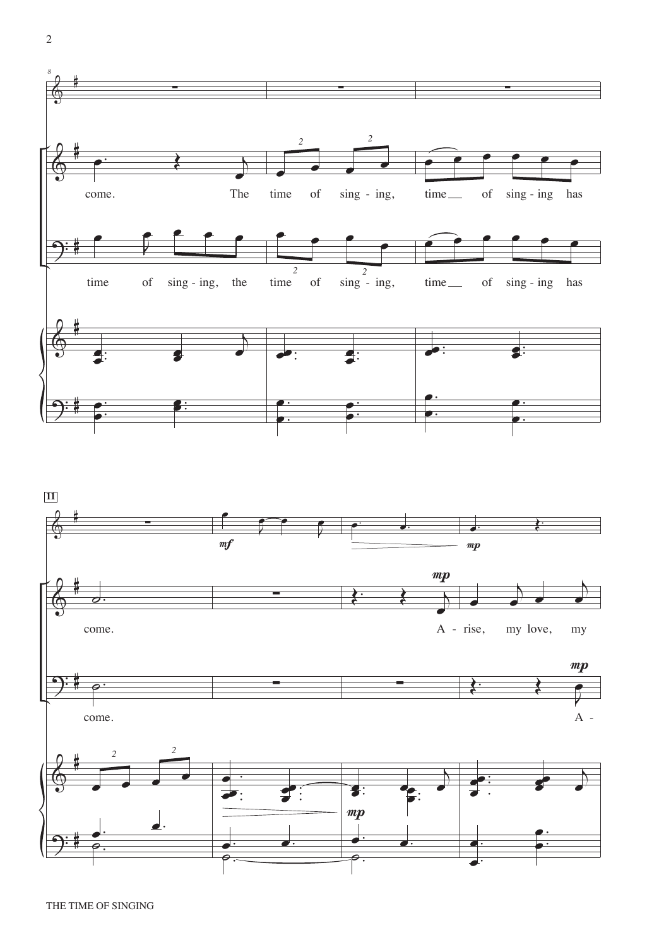

 $\sqrt{2}$